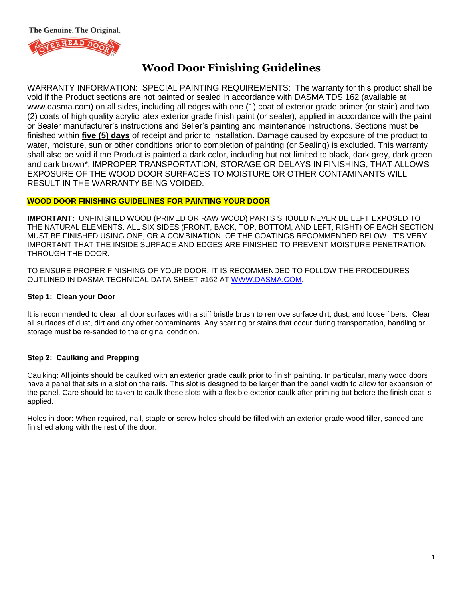The Genuine. The Original.



# **Wood Door Finishing Guidelines**

WARRANTY INFORMATION: SPECIAL PAINTING REQUIREMENTS: The warranty for this product shall be void if the Product sections are not painted or sealed in accordance with DASMA TDS 162 (available at www.dasma.com) on all sides, including all edges with one (1) coat of exterior grade primer (or stain) and two (2) coats of high quality acrylic latex exterior grade finish paint (or sealer), applied in accordance with the paint or Sealer manufacturer's instructions and Seller's painting and maintenance instructions. Sections must be finished within **five (5) days** of receipt and prior to installation. Damage caused by exposure of the product to water, moisture, sun or other conditions prior to completion of painting (or Sealing) is excluded. This warranty shall also be void if the Product is painted a dark color, including but not limited to black, dark grey, dark green and dark brown\*. IMPROPER TRANSPORTATION, STORAGE OR DELAYS IN FINISHING, THAT ALLOWS EXPOSURE OF THE WOOD DOOR SURFACES TO MOISTURE OR OTHER CONTAMINANTS WILL RESULT IN THE WARRANTY BEING VOIDED.

#### **WOOD DOOR FINISHING GUIDELINES FOR PAINTING YOUR DOOR**

**IMPORTANT:** UNFINISHED WOOD (PRIMED OR RAW WOOD) PARTS SHOULD NEVER BE LEFT EXPOSED TO THE NATURAL ELEMENTS. ALL SIX SIDES (FRONT, BACK, TOP, BOTTOM, AND LEFT, RIGHT) OF EACH SECTION MUST BE FINISHED USING ONE, OR A COMBINATION, OF THE COATINGS RECOMMENDED BELOW. IT'S VERY IMPORTANT THAT THE INSIDE SURFACE AND EDGES ARE FINISHED TO PREVENT MOISTURE PENETRATION THROUGH THE DOOR.

TO ENSURE PROPER FINISHING OF YOUR DOOR, IT IS RECOMMENDED TO FOLLOW THE PROCEDURES OUTLINED IN DASMA TECHNICAL DATA SHEET #162 AT [WWW.DASMA.COM.](http://www.dasma.com/)

#### **Step 1: Clean your Door**

It is recommended to clean all door surfaces with a stiff bristle brush to remove surface dirt, dust, and loose fibers. Clean all surfaces of dust, dirt and any other contaminants. Any scarring or stains that occur during transportation, handling or storage must be re-sanded to the original condition.

## **Step 2: Caulking and Prepping**

Caulking: All joints should be caulked with an exterior grade caulk prior to finish painting. In particular, many wood doors have a panel that sits in a slot on the rails. This slot is designed to be larger than the panel width to allow for expansion of the panel. Care should be taken to caulk these slots with a flexible exterior caulk after priming but before the finish coat is applied.

Holes in door: When required, nail, staple or screw holes should be filled with an exterior grade wood filler, sanded and finished along with the rest of the door.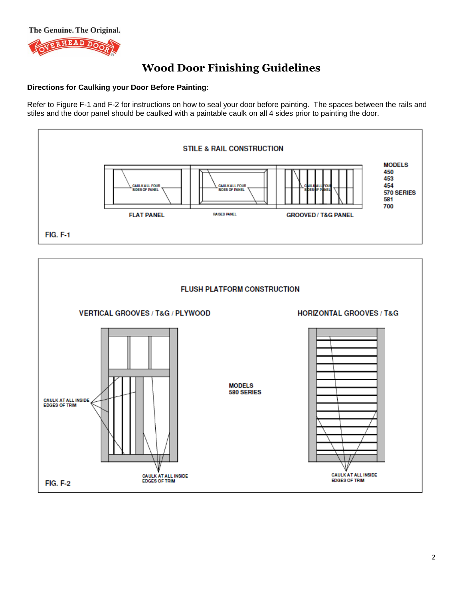

## **Directions for Caulking your Door Before Painting**:

Refer to Figure F-1 and F-2 for instructions on how to seal your door before painting. The spaces between the rails and stiles and the door panel should be caulked with a paintable caulk on all 4 sides prior to painting the door.



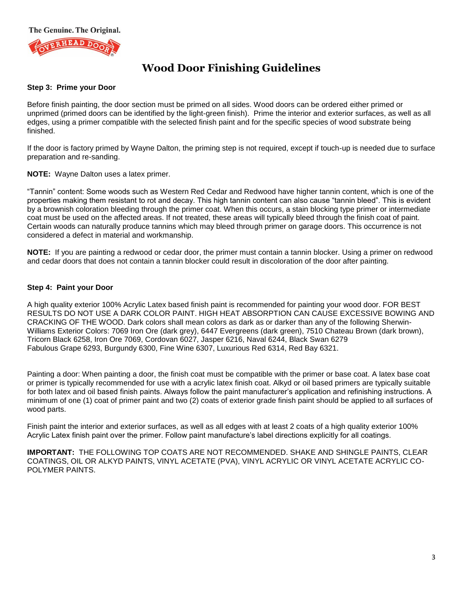

#### **Step 3: Prime your Door**

Before finish painting, the door section must be primed on all sides. Wood doors can be ordered either primed or unprimed (primed doors can be identified by the light-green finish). Prime the interior and exterior surfaces, as well as all edges, using a primer compatible with the selected finish paint and for the specific species of wood substrate being finished.

If the door is factory primed by Wayne Dalton, the priming step is not required, except if touch-up is needed due to surface preparation and re-sanding.

**NOTE:** Wayne Dalton uses a latex primer.

"Tannin" content: Some woods such as Western Red Cedar and Redwood have higher tannin content, which is one of the properties making them resistant to rot and decay. This high tannin content can also cause "tannin bleed". This is evident by a brownish coloration bleeding through the primer coat. When this occurs, a stain blocking type primer or intermediate coat must be used on the affected areas. If not treated, these areas will typically bleed through the finish coat of paint. Certain woods can naturally produce tannins which may bleed through primer on garage doors. This occurrence is not considered a defect in material and workmanship.

**NOTE:** If you are painting a redwood or cedar door, the primer must contain a tannin blocker. Using a primer on redwood and cedar doors that does not contain a tannin blocker could result in discoloration of the door after painting.

## **Step 4: Paint your Door**

A high quality exterior 100% Acrylic Latex based finish paint is recommended for painting your wood door. FOR BEST RESULTS DO NOT USE A DARK COLOR PAINT. HIGH HEAT ABSORPTION CAN CAUSE EXCESSIVE BOWING AND CRACKING OF THE WOOD. Dark colors shall mean colors as dark as or darker than any of the following Sherwin-Williams Exterior Colors: 7069 Iron Ore (dark grey), 6447 Evergreens (dark green), 7510 Chateau Brown (dark brown), Tricorn Black 6258, Iron Ore 7069, Cordovan 6027, Jasper 6216, Naval 6244, Black Swan 6279 Fabulous Grape 6293, Burgundy 6300, Fine Wine 6307, Luxurious Red 6314, Red Bay 6321.

Painting a door: When painting a door, the finish coat must be compatible with the primer or base coat. A latex base coat or primer is typically recommended for use with a acrylic latex finish coat. Alkyd or oil based primers are typically suitable for both latex and oil based finish paints. Always follow the paint manufacturer's application and refinishing instructions. A minimum of one (1) coat of primer paint and two (2) coats of exterior grade finish paint should be applied to all surfaces of wood parts.

Finish paint the interior and exterior surfaces, as well as all edges with at least 2 coats of a high quality exterior 100% Acrylic Latex finish paint over the primer. Follow paint manufacture's label directions explicitly for all coatings.

**IMPORTANT:** THE FOLLOWING TOP COATS ARE NOT RECOMMENDED. SHAKE AND SHINGLE PAINTS, CLEAR COATINGS, OIL OR ALKYD PAINTS, VINYL ACETATE (PVA), VINYL ACRYLIC OR VINYL ACETATE ACRYLIC CO-POLYMER PAINTS.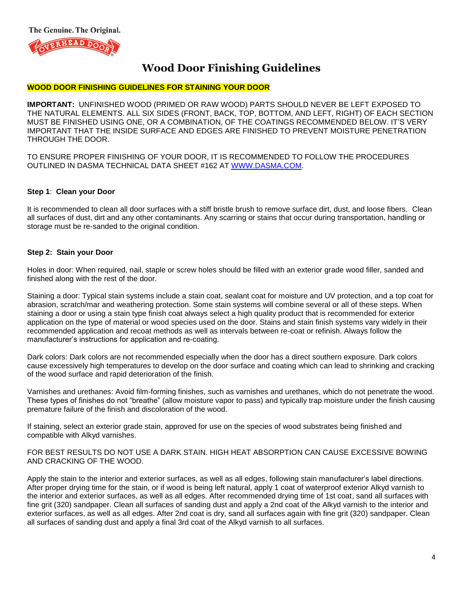

#### **WOOD DOOR FINISHING GUIDELINES FOR STAINING YOUR DOOR**

**IMPORTANT:** UNFINISHED WOOD (PRIMED OR RAW WOOD) PARTS SHOULD NEVER BE LEFT EXPOSED TO THE NATURAL ELEMENTS. ALL SIX SIDES (FRONT, BACK, TOP, BOTTOM, AND LEFT, RIGHT) OF EACH SECTION MUST BE FINISHED USING ONE, OR A COMBINATION, OF THE COATINGS RECOMMENDED BELOW. IT'S VERY IMPORTANT THAT THE INSIDE SURFACE AND EDGES ARE FINISHED TO PREVENT MOISTURE PENETRATION THROUGH THE DOOR.

TO ENSURE PROPER FINISHING OF YOUR DOOR, IT IS RECOMMENDED TO FOLLOW THE PROCEDURES OUTLINED IN DASMA TECHNICAL DATA SHEET #162 AT [WWW.DASMA.COM.](http://www.dasma.com/)

#### **Step 1**: **Clean your Door**

It is recommended to clean all door surfaces with a stiff bristle brush to remove surface dirt, dust, and loose fibers. Clean all surfaces of dust, dirt and any other contaminants. Any scarring or stains that occur during transportation, handling or storage must be re-sanded to the original condition.

#### **Step 2: Stain your Door**

Holes in door: When required, nail, staple or screw holes should be filled with an exterior grade wood filler, sanded and finished along with the rest of the door.

Staining a door: Typical stain systems include a stain coat, sealant coat for moisture and UV protection, and a top coat for abrasion, scratch/mar and weathering protection. Some stain systems will combine several or all of these steps. When staining a door or using a stain type finish coat always select a high quality product that is recommended for exterior application on the type of material or wood species used on the door. Stains and stain finish systems vary widely in their recommended application and recoat methods as well as intervals between re-coat or refinish. Always follow the manufacturer's instructions for application and re-coating.

Dark colors: Dark colors are not recommended especially when the door has a direct southern exposure. Dark colors cause excessively high temperatures to develop on the door surface and coating which can lead to shrinking and cracking of the wood surface and rapid deterioration of the finish.

Varnishes and urethanes: Avoid film-forming finishes, such as varnishes and urethanes, which do not penetrate the wood. These types of finishes do not "breathe" (allow moisture vapor to pass) and typically trap moisture under the finish causing premature failure of the finish and discoloration of the wood.

If staining, select an exterior grade stain, approved for use on the species of wood substrates being finished and compatible with Alkyd varnishes.

FOR BEST RESULTS DO NOT USE A DARK STAIN. HIGH HEAT ABSORPTION CAN CAUSE EXCESSIVE BOWING AND CRACKING OF THE WOOD.

Apply the stain to the interior and exterior surfaces, as well as all edges, following stain manufacturer's label directions. After proper drying time for the stain, or if wood is being left natural, apply 1 coat of waterproof exterior Alkyd varnish to the interior and exterior surfaces, as well as all edges. After recommended drying time of 1st coat, sand all surfaces with fine grit (320) sandpaper. Clean all surfaces of sanding dust and apply a 2nd coat of the Alkyd varnish to the interior and exterior surfaces, as well as all edges. After 2nd coat is dry, sand all surfaces again with fine grit (320) sandpaper. Clean all surfaces of sanding dust and apply a final 3rd coat of the Alkyd varnish to all surfaces.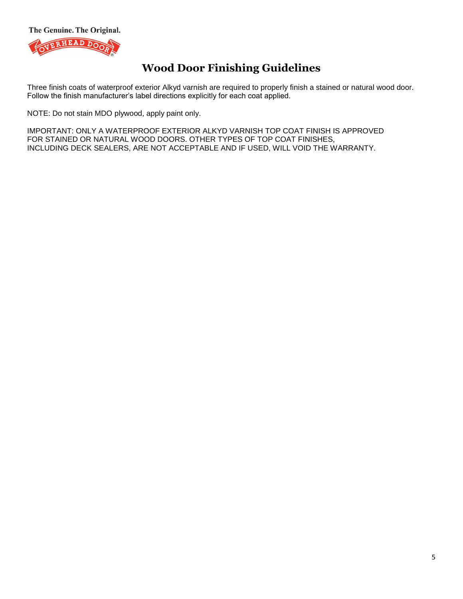The Genuine. The Original.



# **Wood Door Finishing Guidelines**

Three finish coats of waterproof exterior Alkyd varnish are required to properly finish a stained or natural wood door. Follow the finish manufacturer's label directions explicitly for each coat applied.

NOTE: Do not stain MDO plywood, apply paint only.

IMPORTANT: ONLY A WATERPROOF EXTERIOR ALKYD VARNISH TOP COAT FINISH IS APPROVED FOR STAINED OR NATURAL WOOD DOORS. OTHER TYPES OF TOP COAT FINISHES, INCLUDING DECK SEALERS, ARE NOT ACCEPTABLE AND IF USED, WILL VOID THE WARRANTY.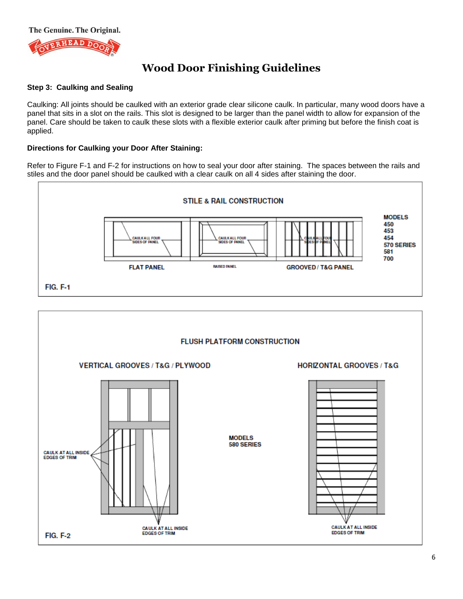

### **Step 3: Caulking and Sealing**

Caulking: All joints should be caulked with an exterior grade clear silicone caulk. In particular, many wood doors have a panel that sits in a slot on the rails. This slot is designed to be larger than the panel width to allow for expansion of the panel. Care should be taken to caulk these slots with a flexible exterior caulk after priming but before the finish coat is applied.

#### **Directions for Caulking your Door After Staining:**

Refer to Figure F-1 and F-2 for instructions on how to seal your door after staining. The spaces between the rails and stiles and the door panel should be caulked with a clear caulk on all 4 sides after staining the door.



**CAULK AT ALL INSIDE**<br>EDGES OF TRIM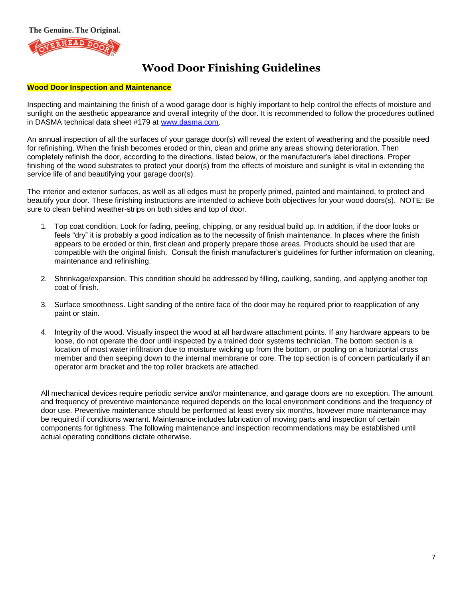

#### **Wood Door Inspection and Maintenance**

Inspecting and maintaining the finish of a wood garage door is highly important to help control the effects of moisture and sunlight on the aesthetic appearance and overall integrity of the door. It is recommended to follow the procedures outlined in DASMA technical data sheet #179 at [www.dasma.com.](http://www.dasma.com/)

An annual inspection of all the surfaces of your garage door(s) will reveal the extent of weathering and the possible need for refinishing. When the finish becomes eroded or thin, clean and prime any areas showing deterioration. Then completely refinish the door, according to the directions, listed below, or the manufacturer's label directions. Proper finishing of the wood substrates to protect your door(s) from the effects of moisture and sunlight is vital in extending the service life of and beautifying your garage door(s).

The interior and exterior surfaces, as well as all edges must be properly primed, painted and maintained, to protect and beautify your door. These finishing instructions are intended to achieve both objectives for your wood doors(s). NOTE: Be sure to clean behind weather-strips on both sides and top of door.

- 1. Top coat condition. Look for fading, peeling, chipping, or any residual build up. In addition, if the door looks or feels "dry" it is probably a good indication as to the necessity of finish maintenance. In places where the finish appears to be eroded or thin, first clean and properly prepare those areas. Products should be used that are compatible with the original finish. Consult the finish manufacturer's guidelines for further information on cleaning, maintenance and refinishing.
- 2. Shrinkage/expansion. This condition should be addressed by filling, caulking, sanding, and applying another top coat of finish.
- 3. Surface smoothness. Light sanding of the entire face of the door may be required prior to reapplication of any paint or stain.
- 4. Integrity of the wood. Visually inspect the wood at all hardware attachment points. If any hardware appears to be loose, do not operate the door until inspected by a trained door systems technician. The bottom section is a location of most water infiltration due to moisture wicking up from the bottom, or pooling on a horizontal cross member and then seeping down to the internal membrane or core. The top section is of concern particularly if an operator arm bracket and the top roller brackets are attached.

All mechanical devices require periodic service and/or maintenance, and garage doors are no exception. The amount and frequency of preventive maintenance required depends on the local environment conditions and the frequency of door use. Preventive maintenance should be performed at least every six months, however more maintenance may be required if conditions warrant. Maintenance includes lubrication of moving parts and inspection of certain components for tightness. The following maintenance and inspection recommendations may be established until actual operating conditions dictate otherwise.